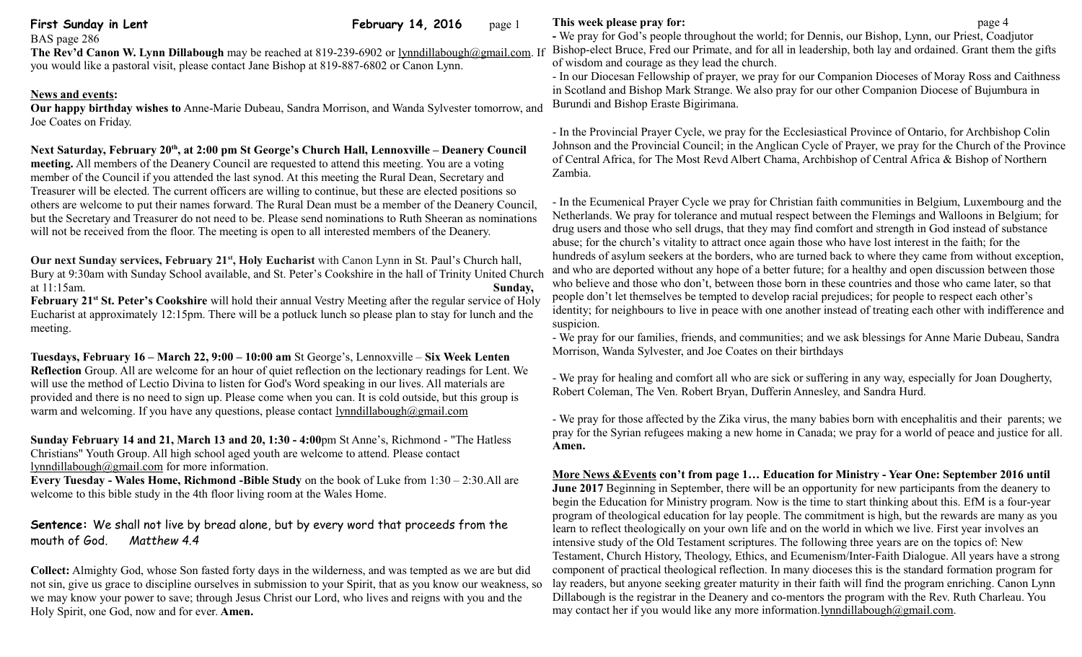**First Sunday in Lent** February 14, 2016 page 1

BAS page 286

**The Rev'd Canon W. Lynn Dillabough** may be reached at 819-239-6902 or [lynndillabough@gmail.com.](mailto:lynndillabough@gmail.com) If you would like a pastoral visit, please contact Jane Bishop at 819-887-6802 or Canon Lynn.

### **News and events:**

**Our happy birthday wishes to** Anne-Marie Dubeau, Sandra Morrison, and Wanda Sylvester tomorrow, and Joe Coates on Friday.

# **Next Saturday, February 20th, at 2:00 pm St George's Church Hall, Lennoxville – Deanery Council**

**meeting.** All members of the Deanery Council are requested to attend this meeting. You are a voting member of the Council if you attended the last synod. At this meeting the Rural Dean, Secretary and Treasurer will be elected. The current officers are willing to continue, but these are elected positions so others are welcome to put their names forward. The Rural Dean must be a member of the Deanery Council, but the Secretary and Treasurer do not need to be. Please send nominations to Ruth Sheeran as nominations will not be received from the floor. The meeting is open to all interested members of the Deanery.

**Our next Sunday services, February 21st, Holy Eucharist** with Canon Lynn in St. Paul's Church hall, Bury at 9:30am with Sunday School available, and St. Peter's Cookshire in the hall of Trinity United Church at 11:15am. **Sunday,** 

**February 21st St. Peter's Cookshire** will hold their annual Vestry Meeting after the regular service of Holy Eucharist at approximately 12:15pm. There will be a potluck lunch so please plan to stay for lunch and the meeting.

**Tuesdays, February 16 – March 22, 9:00 – 10:00 am** St George's, Lennoxville – **Six Week Lenten Reflection** Group. All are welcome for an hour of quiet reflection on the lectionary readings for Lent. We will use the method of Lectio Divina to listen for God's Word speaking in our lives. All materials are provided and there is no need to sign up. Please come when you can. It is cold outside, but this group is warm and welcoming. If you have any questions, please contact [lynndillabough@gmail.com](mailto:lynndillabough@gmail.com)

**Sunday February 14 and 21, March 13 and 20, 1:30 - 4:00**pm St Anne's, Richmond - "The Hatless Christians" Youth Group. All high school aged youth are welcome to attend. Please contact [lynndillabough@gmail.com](mailto:lynndillabough@gmail.com) for more information.

**Every Tuesday - Wales Home, Richmond -Bible Study** on the book of Luke from 1:30 – 2:30.All are welcome to this bible study in the 4th floor living room at the Wales Home.

# **Sentence:** We shall not live by bread alone, but by every word that proceeds from the mouth of God. *Matthew 4.4*

**Collect:** Almighty God, whose Son fasted forty days in the wilderness, and was tempted as we are but did not sin, give us grace to discipline ourselves in submission to your Spirit, that as you know our weakness, so we may know your power to save; through Jesus Christ our Lord, who lives and reigns with you and the Holy Spirit, one God, now and for ever. **Amen.**

## **This week please pray for: page 4**

**-** We pray for God's people throughout the world; for Dennis, our Bishop, Lynn, our Priest, Coadjutor Bishop-elect Bruce, Fred our Primate, and for all in leadership, both lay and ordained. Grant them the gifts of wisdom and courage as they lead the church.

- In our Diocesan Fellowship of prayer, we pray for our Companion Dioceses of Moray Ross and Caithness in Scotland and Bishop Mark Strange. We also pray for our other Companion Diocese of Bujumbura in Burundi and Bishop Eraste Bigirimana.

- In the Provincial Prayer Cycle, we pray for the Ecclesiastical Province of Ontario, for Archbishop Colin Johnson and the Provincial Council; in the Anglican Cycle of Prayer, we pray for the Church of the Province of Central Africa, for The Most Revd Albert Chama, Archbishop of Central Africa & Bishop of Northern Zambia.

- In the Ecumenical Prayer Cycle we pray for Christian faith communities in Belgium, Luxembourg and the Netherlands. We pray for tolerance and mutual respect between the Flemings and Walloons in Belgium; for drug users and those who sell drugs, that they may find comfort and strength in God instead of substance abuse; for the church's vitality to attract once again those who have lost interest in the faith; for the hundreds of asylum seekers at the borders, who are turned back to where they came from without exception, and who are deported without any hope of a better future; for a healthy and open discussion between those who believe and those who don't, between those born in these countries and those who came later, so that people don't let themselves be tempted to develop racial prejudices; for people to respect each other's identity; for neighbours to live in peace with one another instead of treating each other with indifference and suspicion.

- We pray for our families, friends, and communities; and we ask blessings for Anne Marie Dubeau, Sandra Morrison, Wanda Sylvester, and Joe Coates on their birthdays

- We pray for healing and comfort all who are sick or suffering in any way, especially for Joan Dougherty, Robert Coleman, The Ven. Robert Bryan, Dufferin Annesley, and Sandra Hurd.

- We pray for those affected by the Zika virus, the many babies born with encephalitis and their parents; we pray for the Syrian refugees making a new home in Canada; we pray for a world of peace and justice for all. **Amen.**

 **More News &Events con't from page 1… Education for Ministry - Year One: September 2016 until June 2017** Beginning in September, there will be an opportunity for new participants from the deanery to begin the Education for Ministry program. Now is the time to start thinking about this. EfM is a four-year program of theological education for lay people. The commitment is high, but the rewards are many as you learn to reflect theologically on your own life and on the world in which we live. First year involves an intensive study of the Old Testament scriptures. The following three years are on the topics of: New Testament, Church History, Theology, Ethics, and Ecumenism/Inter-Faith Dialogue. All years have a strong component of practical theological reflection. In many dioceses this is the standard formation program for lay readers, but anyone seeking greater maturity in their faith will find the program enriching. Canon Lynn Dillabough is the registrar in the Deanery and co-mentors the program with the Rev. Ruth Charleau. You may contact her if you would like any more information[.lynndillabough@gmail.com.](mailto:lynndillabough@gmail.com)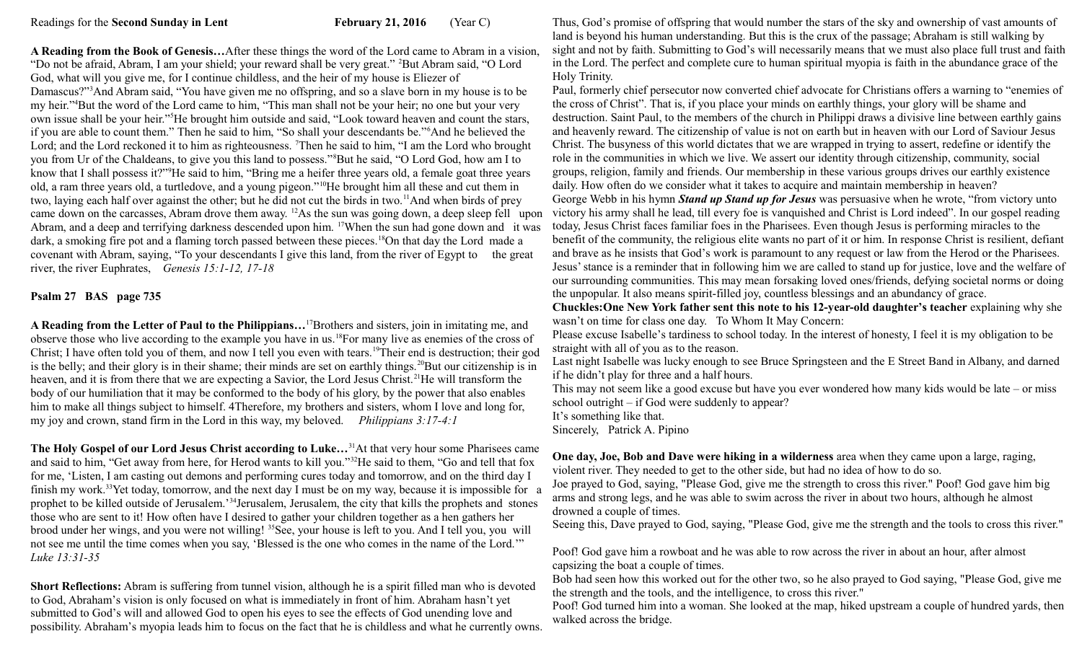**A Reading from the Book of Genesis…**After these things the word of the Lord came to Abram in a vision, "Do not be afraid, Abram, I am your shield; your reward shall be very great." <sup>2</sup>But Abram said, "O Lord God, what will you give me, for I continue childless, and the heir of my house is Eliezer of Damascus?"<sup>3</sup>And Abram said, "You have given me no offspring, and so a slave born in my house is to be my heir."<sup>4</sup>But the word of the Lord came to him, "This man shall not be your heir; no one but your very own issue shall be your heir."<sup>5</sup>He brought him outside and said, "Look toward heaven and count the stars, if you are able to count them." Then he said to him, "So shall your descendants be."<sup>6</sup>And he believed the Lord; and the Lord reckoned it to him as righteousness. Then he said to him, "I am the Lord who brought you from Ur of the Chaldeans, to give you this land to possess."<sup>8</sup>But he said, "O Lord God, how am I to know that I shall possess it?"<sup>9</sup>He said to him, "Bring me a heifer three years old, a female goat three years old, a ram three years old, a turtledove, and a young pigeon."<sup>10</sup>He brought him all these and cut them in two, laying each half over against the other; but he did not cut the birds in two.<sup>11</sup>And when birds of prey came down on the carcasses, Abram drove them away. <sup>12</sup>As the sun was going down, a deep sleep fell upon Abram, and a deep and terrifying darkness descended upon him. <sup>17</sup>When the sun had gone down and it was dark, a smoking fire pot and a flaming torch passed between these pieces.<sup>18</sup>On that day the Lord made a covenant with Abram, saying, "To your descendants I give this land, from the river of Egypt to the great river, the river Euphrates, *Genesis 15:1-12, 17-18*

#### **Psalm 27 BAS page 735**

**A Reading from the Letter of Paul to the Philippians…**<sup>17</sup>Brothers and sisters, join in imitating me, and observe those who live according to the example you have in us.<sup>18</sup>For many live as enemies of the cross of Christ; I have often told you of them, and now I tell you even with tears.<sup>19</sup>Their end is destruction; their god is the belly; and their glory is in their shame; their minds are set on earthly things.<sup>20</sup>But our citizenship is in heaven, and it is from there that we are expecting a Savior, the Lord Jesus Christ.<sup>21</sup>He will transform the body of our humiliation that it may be conformed to the body of his glory, by the power that also enables him to make all things subject to himself. 4Therefore, my brothers and sisters, whom I love and long for, my joy and crown, stand firm in the Lord in this way, my beloved. *Philippians 3:17-4:1* 

**The Holy Gospel of our Lord Jesus Christ according to Luke…**<sup>31</sup>At that very hour some Pharisees came and said to him, "Get away from here, for Herod wants to kill you."<sup>32</sup>He said to them, "Go and tell that fox for me, 'Listen, I am casting out demons and performing cures today and tomorrow, and on the third day I finish my work.<sup>33</sup>Yet today, tomorrow, and the next day I must be on my way, because it is impossible for a prophet to be killed outside of Jerusalem.'<sup>34</sup>Jerusalem, Jerusalem, the city that kills the prophets and stones those who are sent to it! How often have I desired to gather your children together as a hen gathers her brood under her wings, and you were not willing! <sup>35</sup>See, your house is left to you. And I tell you, you will not see me until the time comes when you say, 'Blessed is the one who comes in the name of the Lord.'" *Luke 13:31-35*

**Short Reflections:** Abram is suffering from tunnel vision, although he is a spirit filled man who is devoted to God, Abraham's vision is only focused on what is immediately in front of him. Abraham hasn't yet submitted to God's will and allowed God to open his eyes to see the effects of God unending love and possibility. Abraham's myopia leads him to focus on the fact that he is childless and what he currently owns.

Thus, God's promise of offspring that would number the stars of the sky and ownership of vast amounts of land is beyond his human understanding. But this is the crux of the passage; Abraham is still walking by sight and not by faith. Submitting to God's will necessarily means that we must also place full trust and faith in the Lord. The perfect and complete cure to human spiritual myopia is faith in the abundance grace of the Holy Trinity.

Paul, formerly chief persecutor now converted chief advocate for Christians offers a warning to "enemies of the cross of Christ". That is, if you place your minds on earthly things, your glory will be shame and destruction. Saint Paul, to the members of the church in Philippi draws a divisive line between earthly gains and heavenly reward. The citizenship of value is not on earth but in heaven with our Lord of Saviour Jesus Christ. The busyness of this world dictates that we are wrapped in trying to assert, redefine or identify the role in the communities in which we live. We assert our identity through citizenship, community, social groups, religion, family and friends. Our membership in these various groups drives our earthly existence daily. How often do we consider what it takes to acquire and maintain membership in heaven?

George Webb in his hymn *Stand up Stand up for Jesus* was persuasive when he wrote, "from victory unto victory his army shall he lead, till every foe is vanquished and Christ is Lord indeed". In our gospel reading today, Jesus Christ faces familiar foes in the Pharisees. Even though Jesus is performing miracles to the benefit of the community, the religious elite wants no part of it or him. In response Christ is resilient, defiant and brave as he insists that God's work is paramount to any request or law from the Herod or the Pharisees. Jesus' stance is a reminder that in following him we are called to stand up for justice, love and the welfare of our surrounding communities. This may mean forsaking loved ones/friends, defying societal norms or doing the unpopular. It also means spirit-filled joy, countless blessings and an abundancy of grace.

**Chuckles:One New York father sent this note to his 12-year-old daughter's teacher** explaining why she wasn't on time for class one day. To Whom It May Concern:

Please excuse Isabelle's tardiness to school today. In the interest of honesty, I feel it is my obligation to be straight with all of you as to the reason.

Last night Isabelle was lucky enough to see Bruce Springsteen and the E Street Band in Albany, and darned if he didn't play for three and a half hours.

This may not seem like a good excuse but have you ever wondered how many kids would be late – or miss school outright – if God were suddenly to appear?

It's something like that.

Sincerely, Patrick A. Pipino

**One day, Joe, Bob and Dave were hiking in a wilderness** area when they came upon a large, raging, violent river. They needed to get to the other side, but had no idea of how to do so.

Joe prayed to God, saying, "Please God, give me the strength to cross this river." Poof! God gave him big arms and strong legs, and he was able to swim across the river in about two hours, although he almost drowned a couple of times.

Seeing this, Dave prayed to God, saying, "Please God, give me the strength and the tools to cross this river."

Poof! God gave him a rowboat and he was able to row across the river in about an hour, after almost capsizing the boat a couple of times.

Bob had seen how this worked out for the other two, so he also prayed to God saying, "Please God, give me the strength and the tools, and the intelligence, to cross this river."

Poof! God turned him into a woman. She looked at the map, hiked upstream a couple of hundred yards, then walked across the bridge.